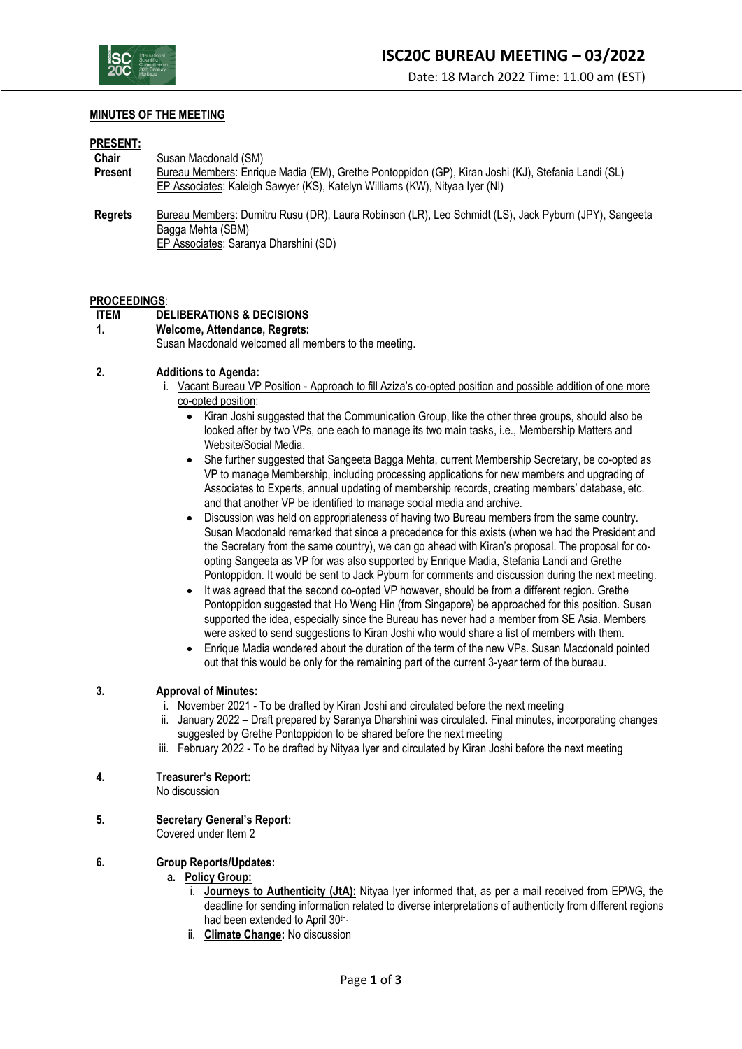

### **MINUTES OF THE MEETING**

#### **PRESENT:**

| <b>Chair</b>   | Susan Macdonald (SM)                                                                                  |
|----------------|-------------------------------------------------------------------------------------------------------|
| <b>Present</b> | Bureau Members: Enrique Madia (EM), Grethe Pontoppidon (GP), Kiran Joshi (KJ), Stefania Landi (SL)    |
|                | EP Associates: Kaleigh Sawyer (KS), Katelyn Williams (KW), Nityaa Iyer (NI)                           |
| <b>Regrets</b> | Bureau Members: Dumitru Rusu (DR), Laura Robinson (LR), Leo Schmidt (LS), Jack Pyburn (JPY), Sangeeta |
|                | Bagga Mehta (SBM)                                                                                     |
|                | EP Associates: Saranya Dharshini (SD)                                                                 |

### **PROCEEDINGS**:

# **ITEM DELIBERATIONS & DECISIONS**

### **1. Welcome, Attendance, Regrets:**

Susan Macdonald welcomed all members to the meeting.

### **2. Additions to Agenda:**

- i. Vacant Bureau VP Position Approach to fill Aziza's co-opted position and possible addition of one more co-opted position:
	- Kiran Joshi suggested that the Communication Group, like the other three groups, should also be looked after by two VPs, one each to manage its two main tasks, i.e., Membership Matters and Website/Social Media.
	- She further suggested that Sangeeta Bagga Mehta, current Membership Secretary, be co-opted as VP to manage Membership, including processing applications for new members and upgrading of Associates to Experts, annual updating of membership records, creating members' database, etc. and that another VP be identified to manage social media and archive.
	- Discussion was held on appropriateness of having two Bureau members from the same country. Susan Macdonald remarked that since a precedence for this exists (when we had the President and the Secretary from the same country), we can go ahead with Kiran's proposal. The proposal for coopting Sangeeta as VP for was also supported by Enrique Madia, Stefania Landi and Grethe Pontoppidon. It would be sent to Jack Pyburn for comments and discussion during the next meeting.
	- It was agreed that the second co-opted VP however, should be from a different region. Grethe Pontoppidon suggested that Ho Weng Hin (from Singapore) be approached for this position. Susan supported the idea, especially since the Bureau has never had a member from SE Asia. Members were asked to send suggestions to Kiran Joshi who would share a list of members with them.
	- Enrique Madia wondered about the duration of the term of the new VPs. Susan Macdonald pointed out that this would be only for the remaining part of the current 3-year term of the bureau.

## **3. Approval of Minutes:**

- i. November 2021 To be drafted by Kiran Joshi and circulated before the next meeting
- ii. January 2022 Draft prepared by Saranya Dharshini was circulated. Final minutes, incorporating changes suggested by Grethe Pontoppidon to be shared before the next meeting
- iii. February 2022 To be drafted by Nityaa Iyer and circulated by Kiran Joshi before the next meeting

### **4. Treasurer's Report:**

No discussion

**5. Secretary General's Report:**

Covered under Item 2

### **6. Group Reports/Updates:**

### **a. Policy Group:**

- i. **Journeys to Authenticity (JtA):** Nityaa Iyer informed that, as per a mail received from EPWG, the deadline for sending information related to diverse interpretations of authenticity from different regions had been extended to April 30th.
- ii. **Climate Change:** No discussion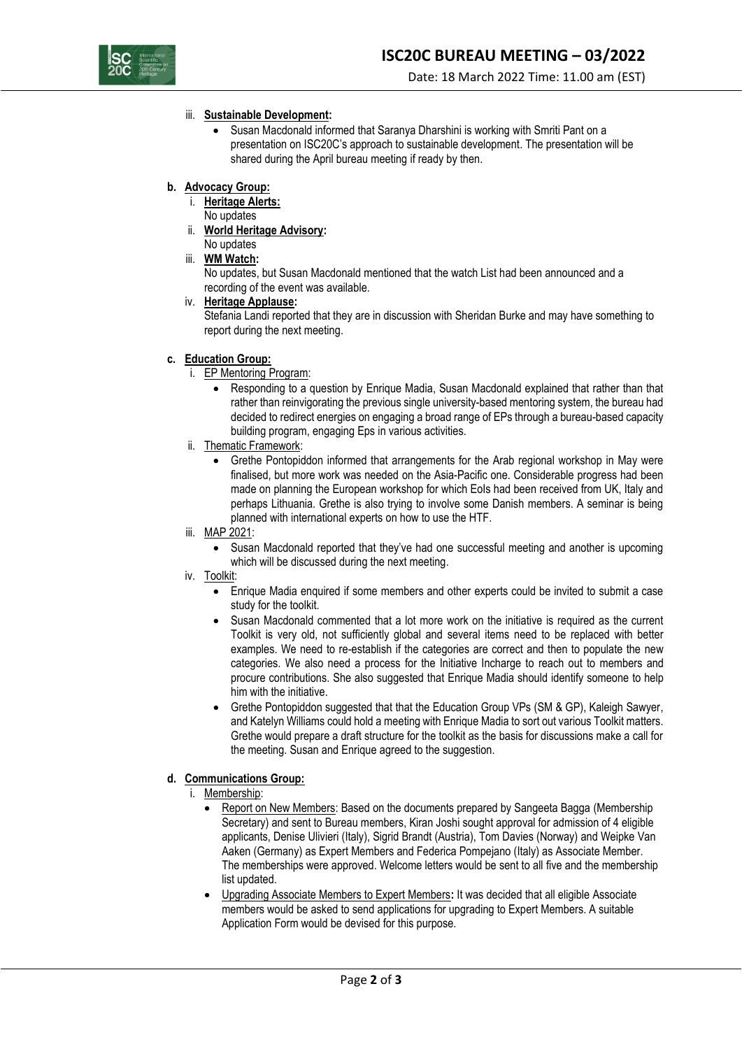

Date: 18 March 2022 Time: 11.00 am (EST)

# iii. **Sustainable Development:**

- Susan Macdonald informed that Saranya Dharshini is working with Smriti Pant on a presentation on ISC20C's approach to sustainable development. The presentation will be shared during the April bureau meeting if ready by then.
- **b. Advocacy Group:**
	- i. **Heritage Alerts:**
		- No updates
	- ii. **World Heritage Advisory:** No updates
	- iii. **WM Watch:**

No updates, but Susan Macdonald mentioned that the watch List had been announced and a recording of the event was available.

iv. **Heritage Applause:**

Stefania Landi reported that they are in discussion with Sheridan Burke and may have something to report during the next meeting.

- **c. Education Group:**
	- i. EP Mentoring Program:
		- Responding to a question by Enrique Madia, Susan Macdonald explained that rather than that rather than reinvigorating the previous single university-based mentoring system, the bureau had decided to redirect energies on engaging a broad range of EPs through a bureau-based capacity building program, engaging Eps in various activities.
	- ii. Thematic Framework:
		- Grethe Pontopiddon informed that arrangements for the Arab regional workshop in May were finalised, but more work was needed on the Asia-Pacific one. Considerable progress had been made on planning the European workshop for which EoIs had been received from UK, Italy and perhaps Lithuania. Grethe is also trying to involve some Danish members. A seminar is being planned with international experts on how to use the HTF.
	- iii. MAP 2021:
		- Susan Macdonald reported that they've had one successful meeting and another is upcoming which will be discussed during the next meeting.
	- iv. Toolkit:
		- Enrique Madia enquired if some members and other experts could be invited to submit a case study for the toolkit.
		- Susan Macdonald commented that a lot more work on the initiative is required as the current Toolkit is very old, not sufficiently global and several items need to be replaced with better examples. We need to re-establish if the categories are correct and then to populate the new categories. We also need a process for the Initiative Incharge to reach out to members and procure contributions. She also suggested that Enrique Madia should identify someone to help him with the initiative.
		- Grethe Pontopiddon suggested that that the Education Group VPs (SM & GP), Kaleigh Sawyer, and Katelyn Williams could hold a meeting with Enrique Madia to sort out various Toolkit matters. Grethe would prepare a draft structure for the toolkit as the basis for discussions make a call for the meeting. Susan and Enrique agreed to the suggestion.

# **d. Communications Group:**

- i. Membership:
	- Report on New Members: Based on the documents prepared by Sangeeta Bagga (Membership Secretary) and sent to Bureau members, Kiran Joshi sought approval for admission of 4 eligible applicants, Denise Ulivieri (Italy), Sigrid Brandt (Austria), Tom Davies (Norway) and Weipke Van Aaken (Germany) as Expert Members and Federica Pompejano (Italy) as Associate Member. The memberships were approved. Welcome letters would be sent to all five and the membership list updated.
	- Upgrading Associate Members to Expert Members**:** It was decided that all eligible Associate members would be asked to send applications for upgrading to Expert Members. A suitable Application Form would be devised for this purpose.